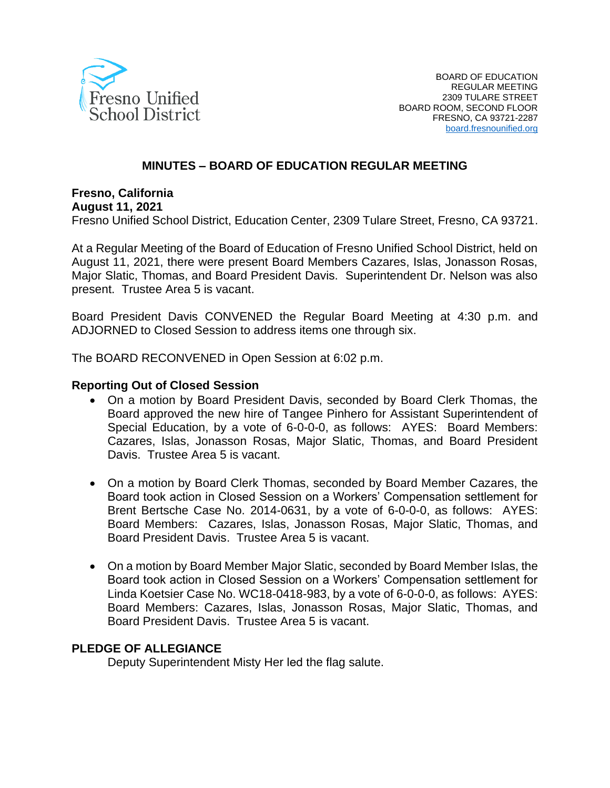

### **MINUTES – BOARD OF EDUCATION REGULAR MEETING**

### **Fresno, California**

#### **August 11, 2021**

Fresno Unified School District, Education Center, 2309 Tulare Street, Fresno, CA 93721.

At a Regular Meeting of the Board of Education of Fresno Unified School District, held on August 11, 2021, there were present Board Members Cazares, Islas, Jonasson Rosas, Major Slatic, Thomas, and Board President Davis. Superintendent Dr. Nelson was also present. Trustee Area 5 is vacant.

Board President Davis CONVENED the Regular Board Meeting at 4:30 p.m. and ADJORNED to Closed Session to address items one through six.

The BOARD RECONVENED in Open Session at 6:02 p.m.

#### **Reporting Out of Closed Session**

- On a motion by Board President Davis, seconded by Board Clerk Thomas, the Board approved the new hire of Tangee Pinhero for Assistant Superintendent of Special Education, by a vote of 6-0-0-0, as follows: AYES: Board Members: Cazares, Islas, Jonasson Rosas, Major Slatic, Thomas, and Board President Davis. Trustee Area 5 is vacant.
- On a motion by Board Clerk Thomas, seconded by Board Member Cazares, the Board took action in Closed Session on a Workers' Compensation settlement for Brent Bertsche Case No. 2014-0631, by a vote of 6-0-0-0, as follows: AYES: Board Members: Cazares, Islas, Jonasson Rosas, Major Slatic, Thomas, and Board President Davis. Trustee Area 5 is vacant.
- On a motion by Board Member Major Slatic, seconded by Board Member Islas, the Board took action in Closed Session on a Workers' Compensation settlement for Linda Koetsier Case No. WC18-0418-983, by a vote of 6-0-0-0, as follows: AYES: Board Members: Cazares, Islas, Jonasson Rosas, Major Slatic, Thomas, and Board President Davis. Trustee Area 5 is vacant.

#### **PLEDGE OF ALLEGIANCE**

Deputy Superintendent Misty Her led the flag salute.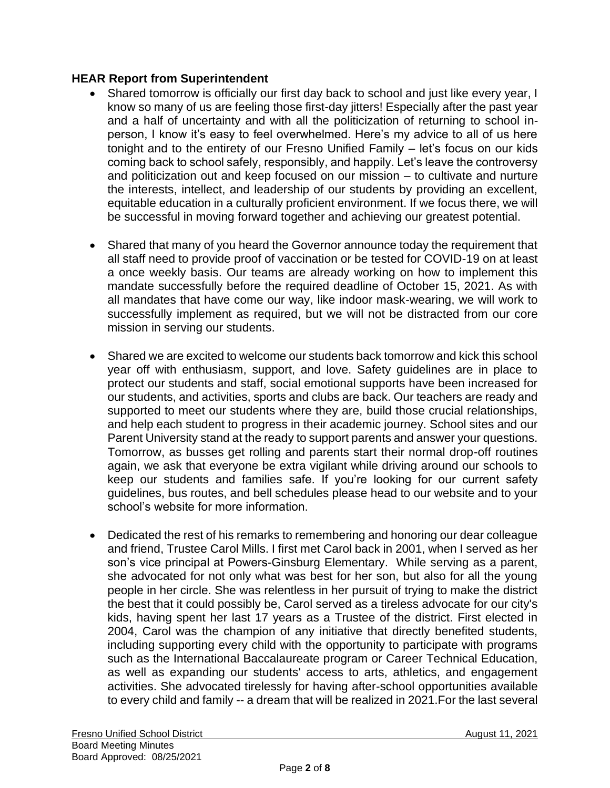### **HEAR Report from Superintendent**

- Shared tomorrow is officially our first day back to school and just like every year, I know so many of us are feeling those first-day jitters! Especially after the past year and a half of uncertainty and with all the politicization of returning to school inperson, I know it's easy to feel overwhelmed. Here's my advice to all of us here tonight and to the entirety of our Fresno Unified Family – let's focus on our kids coming back to school safely, responsibly, and happily. Let's leave the controversy and politicization out and keep focused on our mission – to cultivate and nurture the interests, intellect, and leadership of our students by providing an excellent, equitable education in a culturally proficient environment. If we focus there, we will be successful in moving forward together and achieving our greatest potential.
- Shared that many of you heard the Governor announce today the requirement that all staff need to provide proof of vaccination or be tested for COVID-19 on at least a once weekly basis. Our teams are already working on how to implement this mandate successfully before the required deadline of October 15, 2021. As with all mandates that have come our way, like indoor mask-wearing, we will work to successfully implement as required, but we will not be distracted from our core mission in serving our students.
- Shared we are excited to welcome our students back tomorrow and kick this school year off with enthusiasm, support, and love. Safety guidelines are in place to protect our students and staff, social emotional supports have been increased for our students, and activities, sports and clubs are back. Our teachers are ready and supported to meet our students where they are, build those crucial relationships, and help each student to progress in their academic journey. School sites and our Parent University stand at the ready to support parents and answer your questions. Tomorrow, as busses get rolling and parents start their normal drop-off routines again, we ask that everyone be extra vigilant while driving around our schools to keep our students and families safe. If you're looking for our current safety guidelines, bus routes, and bell schedules please head to our website and to your school's website for more information.
- Dedicated the rest of his remarks to remembering and honoring our dear colleague and friend, Trustee Carol Mills. I first met Carol back in 2001, when I served as her son's vice principal at Powers-Ginsburg Elementary. While serving as a parent, she advocated for not only what was best for her son, but also for all the young people in her circle. She was relentless in her pursuit of trying to make the district the best that it could possibly be, Carol served as a tireless advocate for our city's kids, having spent her last 17 years as a Trustee of the district. First elected in 2004, Carol was the champion of any initiative that directly benefited students, including supporting every child with the opportunity to participate with programs such as the International Baccalaureate program or Career Technical Education, as well as expanding our students' access to arts, athletics, and engagement activities. She advocated tirelessly for having after-school opportunities available to every child and family -- a dream that will be realized in 2021.For the last several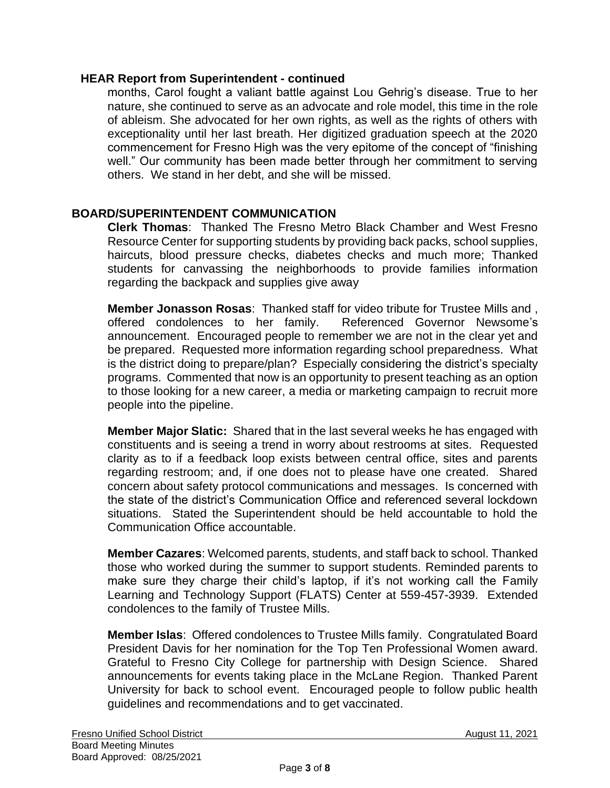#### **HEAR Report from Superintendent - continued**

months, Carol fought a valiant battle against Lou Gehrig's disease. True to her nature, she continued to serve as an advocate and role model, this time in the role of ableism. She advocated for her own rights, as well as the rights of others with exceptionality until her last breath. Her digitized graduation speech at the 2020 commencement for Fresno High was the very epitome of the concept of "finishing well." Our community has been made better through her commitment to serving others. We stand in her debt, and she will be missed.

### **BOARD/SUPERINTENDENT COMMUNICATION**

**Clerk Thomas**: Thanked The Fresno Metro Black Chamber and West Fresno Resource Center for supporting students by providing back packs, school supplies, haircuts, blood pressure checks, diabetes checks and much more; Thanked students for canvassing the neighborhoods to provide families information regarding the backpack and supplies give away

**Member Jonasson Rosas**: Thanked staff for video tribute for Trustee Mills and , offered condolences to her family. Referenced Governor Newsome's announcement. Encouraged people to remember we are not in the clear yet and be prepared. Requested more information regarding school preparedness. What is the district doing to prepare/plan? Especially considering the district's specialty programs. Commented that now is an opportunity to present teaching as an option to those looking for a new career, a media or marketing campaign to recruit more people into the pipeline.

**Member Major Slatic:** Shared that in the last several weeks he has engaged with constituents and is seeing a trend in worry about restrooms at sites. Requested clarity as to if a feedback loop exists between central office, sites and parents regarding restroom; and, if one does not to please have one created. Shared concern about safety protocol communications and messages. Is concerned with the state of the district's Communication Office and referenced several lockdown situations. Stated the Superintendent should be held accountable to hold the Communication Office accountable.

**Member Cazares**: Welcomed parents, students, and staff back to school. Thanked those who worked during the summer to support students. Reminded parents to make sure they charge their child's laptop, if it's not working call the Family Learning and Technology Support (FLATS) Center at 559-457-3939. Extended condolences to the family of Trustee Mills.

**Member Islas**: Offered condolences to Trustee Mills family. Congratulated Board President Davis for her nomination for the Top Ten Professional Women award. Grateful to Fresno City College for partnership with Design Science. Shared announcements for events taking place in the McLane Region. Thanked Parent University for back to school event. Encouraged people to follow public health guidelines and recommendations and to get vaccinated.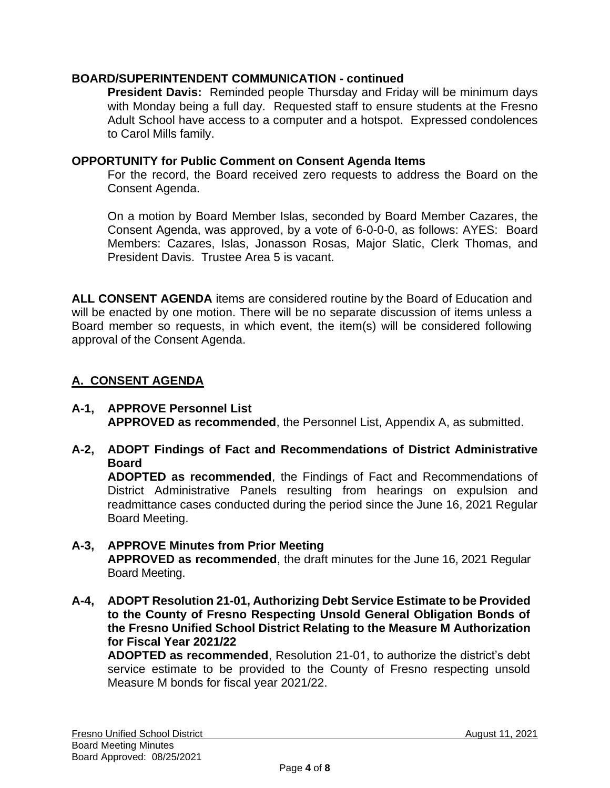### **BOARD/SUPERINTENDENT COMMUNICATION - continued**

**President Davis:** Reminded people Thursday and Friday will be minimum days with Monday being a full day. Requested staff to ensure students at the Fresno Adult School have access to a computer and a hotspot. Expressed condolences to Carol Mills family.

### **OPPORTUNITY for Public Comment on Consent Agenda Items**

For the record, the Board received zero requests to address the Board on the Consent Agenda.

On a motion by Board Member Islas, seconded by Board Member Cazares, the Consent Agenda, was approved, by a vote of 6-0-0-0, as follows: AYES: Board Members: Cazares, Islas, Jonasson Rosas, Major Slatic, Clerk Thomas, and President Davis. Trustee Area 5 is vacant.

**ALL CONSENT AGENDA** items are considered routine by the Board of Education and will be enacted by one motion. There will be no separate discussion of items unless a Board member so requests, in which event, the item(s) will be considered following approval of the Consent Agenda.

## **A. CONSENT AGENDA**

- **A-1, APPROVE Personnel List APPROVED as recommended**, the Personnel List, Appendix A, as submitted.
- **A-2, ADOPT Findings of Fact and Recommendations of District Administrative Board**

**ADOPTED as recommended**, the Findings of Fact and Recommendations of District Administrative Panels resulting from hearings on expulsion and readmittance cases conducted during the period since the June 16, 2021 Regular Board Meeting.

### **A-3, APPROVE Minutes from Prior Meeting**

**APPROVED as recommended**, the draft minutes for the June 16, 2021 Regular Board Meeting.

**A-4, ADOPT Resolution 21-01, Authorizing Debt Service Estimate to be Provided to the County of Fresno Respecting Unsold General Obligation Bonds of the Fresno Unified School District Relating to the Measure M Authorization for Fiscal Year 2021/22**

**ADOPTED as recommended**, Resolution 21-01, to authorize the district's debt service estimate to be provided to the County of Fresno respecting unsold Measure M bonds for fiscal year 2021/22.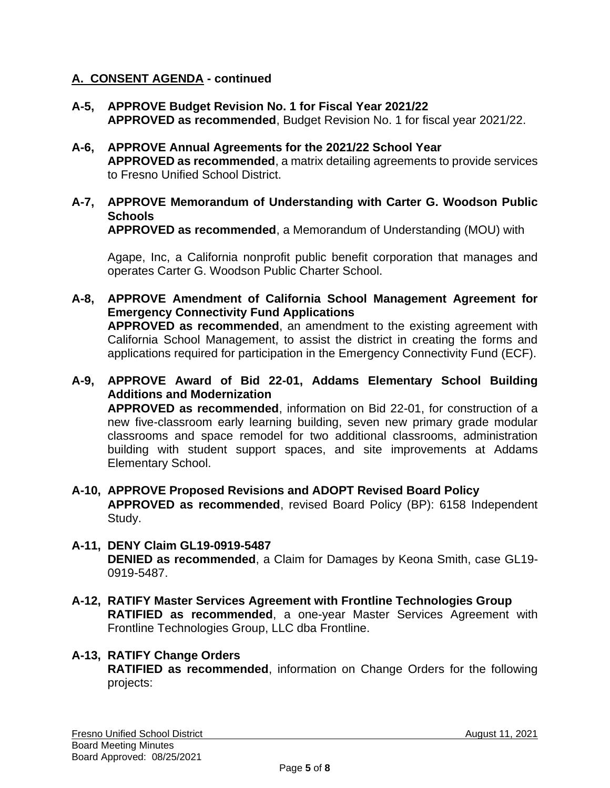### **A. CONSENT AGENDA - continued**

- **A-5, APPROVE Budget Revision No. 1 for Fiscal Year 2021/22 APPROVED as recommended**, Budget Revision No. 1 for fiscal year 2021/22.
- **A-6, APPROVE Annual Agreements for the 2021/22 School Year APPROVED as recommended**, a matrix detailing agreements to provide services to Fresno Unified School District.
- **A-7, APPROVE Memorandum of Understanding with Carter G. Woodson Public Schools**

**APPROVED as recommended**, a Memorandum of Understanding (MOU) with

Agape, Inc, a California nonprofit public benefit corporation that manages and operates Carter G. Woodson Public Charter School.

- **A-8, APPROVE Amendment of California School Management Agreement for Emergency Connectivity Fund Applications APPROVED as recommended**, an amendment to the existing agreement with California School Management, to assist the district in creating the forms and applications required for participation in the Emergency Connectivity Fund (ECF).
- **A-9, APPROVE Award of Bid 22-01, Addams Elementary School Building Additions and Modernization APPROVED as recommended**, information on Bid 22-01, for construction of a new five-classroom early learning building, seven new primary grade modular classrooms and space remodel for two additional classrooms, administration building with student support spaces, and site improvements at Addams Elementary School.
- **A-10, APPROVE Proposed Revisions and ADOPT Revised Board Policy APPROVED as recommended**, revised Board Policy (BP): 6158 Independent Study.
- **A-11, DENY Claim GL19-0919-5487 DENIED as recommended**, a Claim for Damages by Keona Smith, case GL19- 0919-5487.
- **A-12, RATIFY Master Services Agreement with Frontline Technologies Group RATIFIED as recommended**, a one-year Master Services Agreement with Frontline Technologies Group, LLC dba Frontline.

## **A-13, RATIFY Change Orders**

**RATIFIED as recommended**, information on Change Orders for the following projects: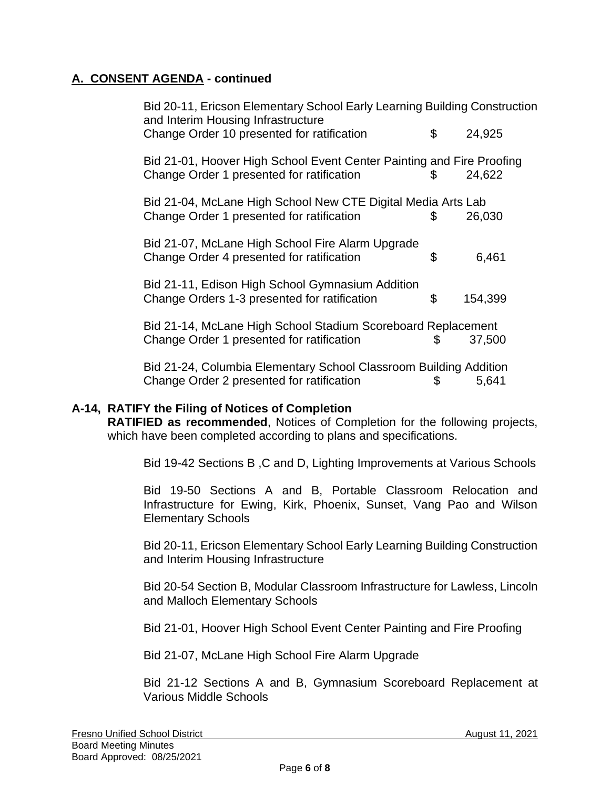# **A. CONSENT AGENDA - continued**

| Bid 20-11, Ericson Elementary School Early Learning Building Construction<br>and Interim Housing Infrastructure    |    |         |  |
|--------------------------------------------------------------------------------------------------------------------|----|---------|--|
| Change Order 10 presented for ratification                                                                         | \$ | 24,925  |  |
| Bid 21-01, Hoover High School Event Center Painting and Fire Proofing<br>Change Order 1 presented for ratification | \$ | 24,622  |  |
| Bid 21-04, McLane High School New CTE Digital Media Arts Lab<br>Change Order 1 presented for ratification          | \$ | 26,030  |  |
| Bid 21-07, McLane High School Fire Alarm Upgrade<br>Change Order 4 presented for ratification                      | \$ | 6,461   |  |
| Bid 21-11, Edison High School Gymnasium Addition<br>Change Orders 1-3 presented for ratification                   | \$ | 154,399 |  |
| Bid 21-14, McLane High School Stadium Scoreboard Replacement<br>Change Order 1 presented for ratification          | S  | 37,500  |  |
| Bid 21-24, Columbia Elementary School Classroom Building Addition                                                  |    |         |  |

Change Order 2 presented for ratification \$ 5,641

## **A-14, RATIFY the Filing of Notices of Completion**

**RATIFIED as recommended**, Notices of Completion for the following projects, which have been completed according to plans and specifications.

Bid 19-42 Sections B ,C and D, Lighting Improvements at Various Schools

Bid 19-50 Sections A and B, Portable Classroom Relocation and Infrastructure for Ewing, Kirk, Phoenix, Sunset, Vang Pao and Wilson Elementary Schools

Bid 20-11, Ericson Elementary School Early Learning Building Construction and Interim Housing Infrastructure

Bid 20-54 Section B, Modular Classroom Infrastructure for Lawless, Lincoln and Malloch Elementary Schools

Bid 21-01, Hoover High School Event Center Painting and Fire Proofing

Bid 21-07, McLane High School Fire Alarm Upgrade

Bid 21-12 Sections A and B, Gymnasium Scoreboard Replacement at Various Middle Schools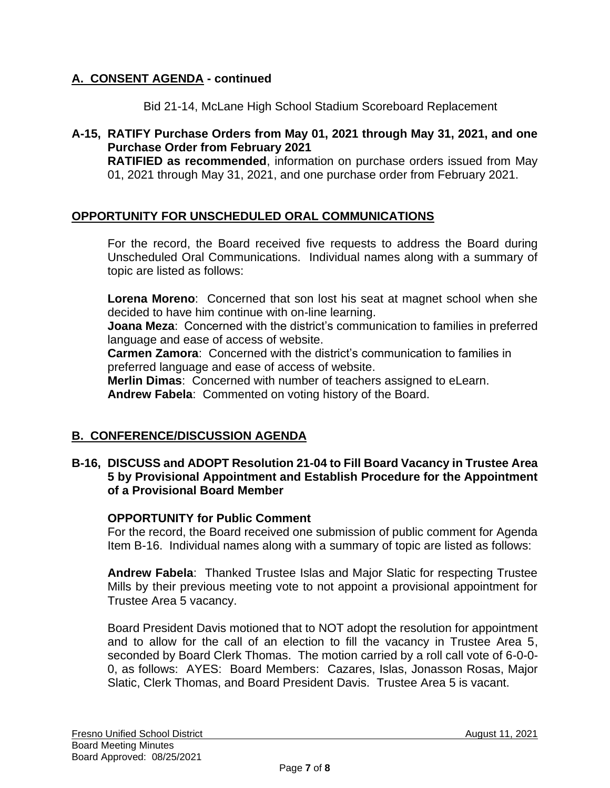# **A. CONSENT AGENDA - continued**

Bid 21-14, McLane High School Stadium Scoreboard Replacement

**A-15, RATIFY Purchase Orders from May 01, 2021 through May 31, 2021, and one Purchase Order from February 2021 RATIFIED as recommended**, information on purchase orders issued from May 01, 2021 through May 31, 2021, and one purchase order from February 2021.

### **OPPORTUNITY FOR UNSCHEDULED ORAL COMMUNICATIONS**

For the record, the Board received five requests to address the Board during Unscheduled Oral Communications. Individual names along with a summary of topic are listed as follows:

**Lorena Moreno**: Concerned that son lost his seat at magnet school when she decided to have him continue with on-line learning.

**Joana Meza**: Concerned with the district's communication to families in preferred language and ease of access of website.

**Carmen Zamora**: Concerned with the district's communication to families in preferred language and ease of access of website.

**Merlin Dimas**: Concerned with number of teachers assigned to eLearn. **Andrew Fabela**: Commented on voting history of the Board.

### **B. CONFERENCE/DISCUSSION AGENDA**

### **B-16, DISCUSS and ADOPT Resolution 21-04 to Fill Board Vacancy in Trustee Area 5 by Provisional Appointment and Establish Procedure for the Appointment of a Provisional Board Member**

### **OPPORTUNITY for Public Comment**

For the record, the Board received one submission of public comment for Agenda Item B-16. Individual names along with a summary of topic are listed as follows:

**Andrew Fabela**: Thanked Trustee Islas and Major Slatic for respecting Trustee Mills by their previous meeting vote to not appoint a provisional appointment for Trustee Area 5 vacancy.

Board President Davis motioned that to NOT adopt the resolution for appointment and to allow for the call of an election to fill the vacancy in Trustee Area 5, seconded by Board Clerk Thomas. The motion carried by a roll call vote of 6-0-0- 0, as follows: AYES: Board Members: Cazares, Islas, Jonasson Rosas, Major Slatic, Clerk Thomas, and Board President Davis. Trustee Area 5 is vacant.